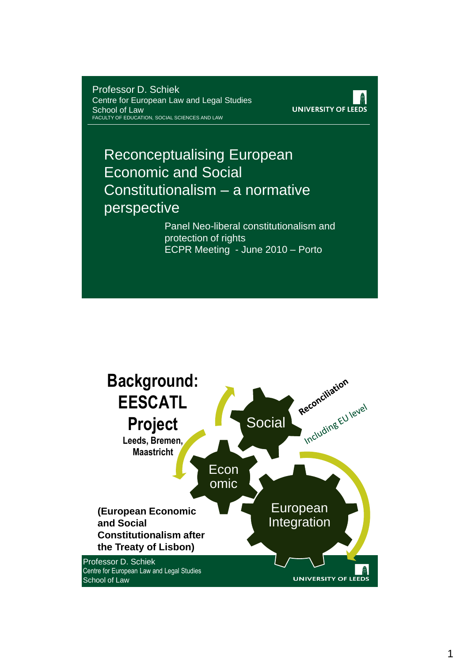Professor D. Schiek Centre for European Law and Legal Studies School of Law FACULTY OF EDUCATION, SOCIAL SCIENCES AND LAW



#### Reconceptualising European Economic and Social Constitutionalism – a normative perspective

Panel Neo-liberal constitutionalism and protection of rights ECPR Meeting - June 2010 – Porto

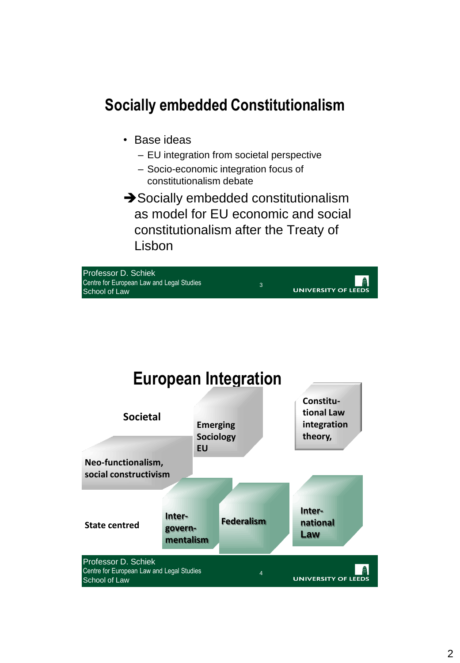### **Socially embedded Constitutionalism**

- Base ideas
	- EU integration from societal perspective
	- Socio-economic integration focus of constitutionalism debate
- → Socially embedded constitutionalism as model for EU economic and social constitutionalism after the Treaty of Lisbon



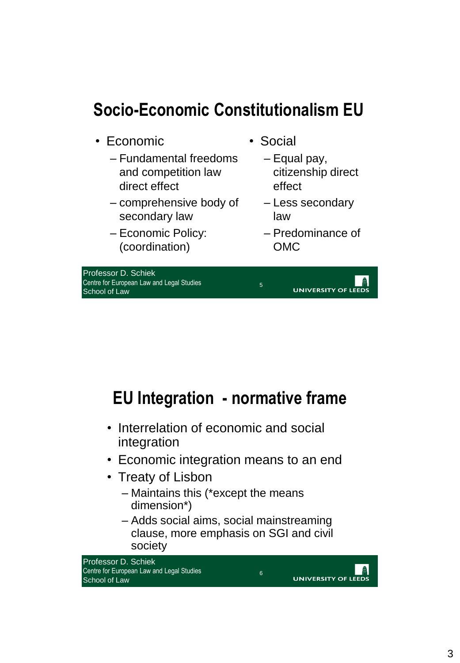## **Socio-Economic Constitutionalism EU**

- Economic
	- Fundamental freedoms and competition law direct effect
	- comprehensive body of secondary law
	- Economic Policy: (coordination)

Professor D. Schiek Centre for European Law and Legal Studies School of Law

• Social

5

- Equal pay, citizenship direct effect
- Less secondary law
- Predominance of OMC

**UNIVERSITY OF LEED:** 



- Interrelation of economic and social integration
- Economic integration means to an end
- Treaty of Lisbon
	- Maintains this (\*except the means dimension\*)
	- Adds social aims, social mainstreaming clause, more emphasis on SGI and civil society

6



**UNIVERSITY OF LEEDS**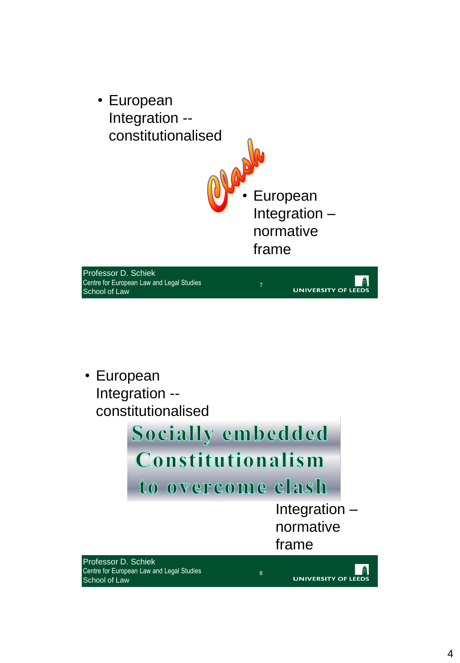

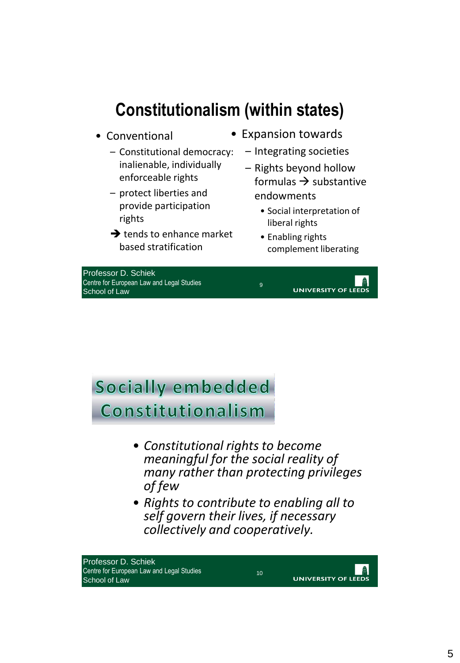### **Constitutionalism (within states)**

- Conventional
	- Constitutional democracy: inalienable, individually enforceable rights
	- protect liberties and provide participation rights
	- $\rightarrow$  tends to enhance market based stratification
- Expansion towards
	- Integrating societies
	- Rights beyond hollow formulas  $\rightarrow$  substantive endowments
		- Social interpretation of liberal rights
		- Enabling rights complement liberating

Professor D. Schiek Centre for European Law and Legal Studies School of Law



**Socially embedded Constitutionalism**

- *Constitutional rights to become meaningful for the social reality of many rather than protecting privileges of few*
- *Rights to contribute to enabling all to self govern their lives, if necessary collectively and cooperatively.*



10

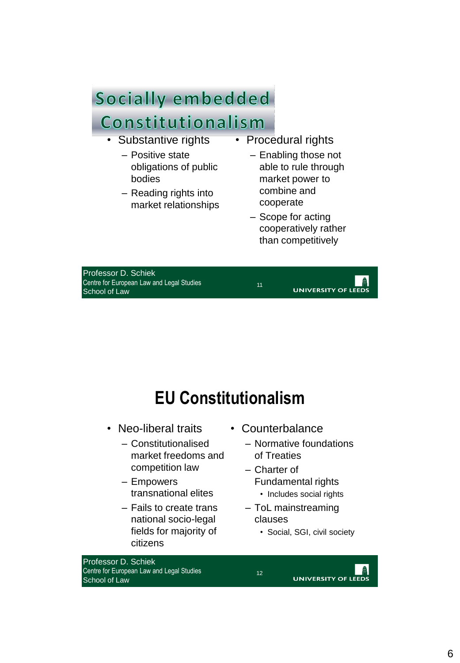#### Socially embedded

### Constitutionalism

- Substantive rights
	- Positive state obligations of public bodies
	- Reading rights into market relationships
- Procedural rights
	- Enabling those not able to rule through market power to combine and cooperate
	- Scope for acting cooperatively rather than competitively

Professor D. Schiek Centre for European Law and Legal Studies School of Law



## **EU Constitutionalism**

- Neo-liberal traits
	- Constitutionalised market freedoms and competition law
	- Empowers transnational elites
	- Fails to create trans national socio-legal fields for majority of citizens
- Professor D. Schiek Centre for European Law and Legal Studies School of Law
- Counterbalance
	- Normative foundations of Treaties
	- Charter of Fundamental rights
		- Includes social rights
	- ToL mainstreaming clauses
		- Social, SGI, civil society

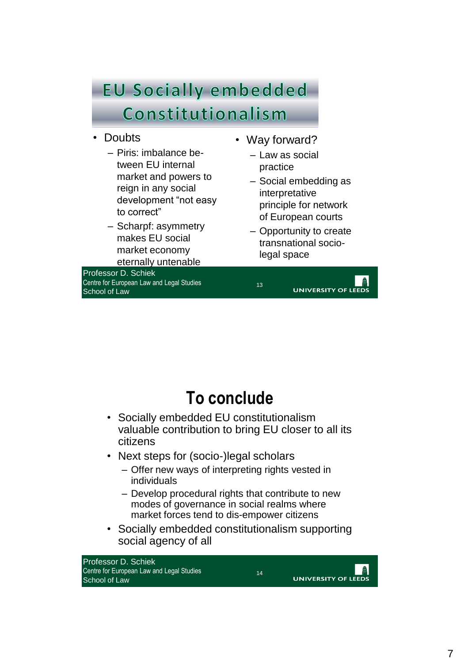# **EU Socially embedded** Constitutionalism

- Doubts
	- Piris: imbalance between EU internal market and powers to reign in any social development "not easy to correct"
	- Scharpf: asymmetry makes EU social market economy eternally untenable

Professor D. Schiek Centre for European Law and Legal Studies School of Law

- Way forward?
	- Law as social practice
	- Social embedding as interpretative principle for network of European courts
	- Opportunity to create transnational sociolegal space



## **To conclude**

- Socially embedded EU constitutionalism valuable contribution to bring EU closer to all its citizens
- Next steps for (socio-)legal scholars
	- Offer new ways of interpreting rights vested in individuals
	- Develop procedural rights that contribute to new modes of governance in social realms where market forces tend to dis-empower citizens
- Socially embedded constitutionalism supporting social agency of all

14